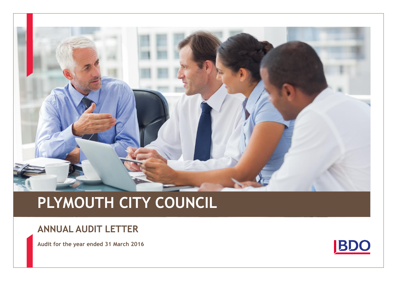

# **PLYMOUTH CITY COUNCIL**

### **ANNUAL AUDIT LETTER**

**Audit for the year ended 31 March 2016**

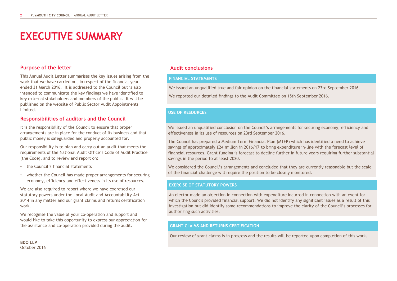# **EXECUTIVE SUMMARY**

#### **Purpose of the letter**

This Annual Audit Letter summarises the key issues arising from the work that we have carried out in respect of the financial year ended 31 March 2016. It is addressed to the Council but is also intended to communicate the key findings we have identified to key external stakeholders and members of the public. It will be published on the website of Public Sector Audit Appointments Limited.

#### **Responsibilities of auditors and the Council**

It is the responsibility of the Council to ensure that proper arrangements are in place for the conduct of its business and that public money is safeguarded and properly accounted for.

Our responsibility is to plan and carry out an audit that meets the requirements of the National Audit Office's Code of Audit Practice (the Code), and to review and report on:

- the Council's financial statements
- whether the Council has made proper arrangements for securing economy, efficiency and effectiveness in its use of resources.

We are also required to report where we have exercised our statutory powers under the Local Audit and Accountability Act 2014 in any matter and our grant claims and returns certification work.

We recognise the value of your co-operation and support and would like to take this opportunity to express our appreciation for the assistance and co-operation provided during the audit.

**BDO LLP** October 2016

#### **Audit conclusions**

#### **FINANCIAL STATEMENTS**

We issued an unqualified true and fair opinion on the financial statements on 23rd September 2016.

We reported our detailed findings to the Audit Committee on 15th September 2016.

#### **USE OF RESOURCES**

We issued an unqualified conclusion on the Council's arrangements for securing economy, efficiency and effectiveness in its use of resources on 23rd September 2016.

The Council has prepared a Medium Term Financial Plan (MTFP) which has identified a need to achieve savings of approximately £24 million in 2016/17 to bring expenditure in-line with the forecast level of financial resources. Grant funding is forecast to decline further in future years requiring further substantial savings in the period to at least 2020.

We considered the Council's arrangements and concluded that they are currently reasonable but the scale of the financial challenge will require the position to be closely monitored.

#### **EXERCISE OF STATUTORY POWERS**

An elector made an objection in connection with expenditure incurred in connection with an event for which the Council provided financial support. We did not identify any significant issues as a result of this investigation but did identify some recommendations to improve the clarity of the Council's processes for authorising such activities.

#### **GRANT CLAIMS AND RETURNS CERTIFICATION**

Our review of grant claims is in progress and the results will be reported upon completion of this work.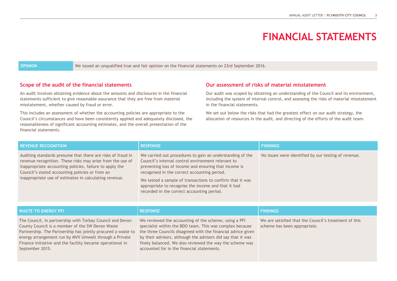### **FINANCIAL STATEMENTS**

**OPINION** We issued an unqualified true and fair opinion on the financial statements on 23rd September 2016.

#### **Scope of the audit of the financial statements**

An audit involves obtaining evidence about the amounts and disclosures in the financial statements sufficient to give reasonable assurance that they are free from material misstatement, whether caused by fraud or error.

This includes an assessment of whether the accounting policies are appropriate to the Council's circumstances and have been consistently applied and adequately disclosed, the reasonableness of significant accounting estimates, and the overall presentation of the financial statements.

### **Our assessment of risks of material misstatement**

Our audit was scoped by obtaining an understanding of the Council and its environment, including the system of internal control, and assessing the risks of material misstatement in the financial statements.

We set out below the risks that had the greatest effect on our audit strategy, the allocation of resources in the audit, and directing of the efforts of the audit team.

| <b>REVENUE RECOGNITION</b>                                                                                                                                                                                                                                                                        | <b>RESPONSE</b>                                                                                                                                                                                                                                                                                                                                                                            | <b>FINDINGS</b>                                      |  |
|---------------------------------------------------------------------------------------------------------------------------------------------------------------------------------------------------------------------------------------------------------------------------------------------------|--------------------------------------------------------------------------------------------------------------------------------------------------------------------------------------------------------------------------------------------------------------------------------------------------------------------------------------------------------------------------------------------|------------------------------------------------------|--|
| Auditing standards presume that there are risks of fraud in<br>revenue recognition. These risks may arise from the use of<br>inappropriate accounting policies, failure to apply the<br>Council's stated accounting policies or from an<br>inappropriate use of estimates in calculating revenue. | We carried out procedures to gain an understanding of the<br>Council's internal control environment relevant to<br>preventing loss of income and ensuring that income is<br>recognised in the correct accounting period.<br>We tested a sample of transactions to confirm that it was<br>appropriate to recognise the income and that it had<br>recorded in the correct accounting period. | No issues were identified by our testing of revenue. |  |
|                                                                                                                                                                                                                                                                                                   |                                                                                                                                                                                                                                                                                                                                                                                            |                                                      |  |
| <b>WASTE TO ENERGY PFI</b>                                                                                                                                                                                                                                                                        | <b>RESPONSE</b>                                                                                                                                                                                                                                                                                                                                                                            | <b>FINDINGS</b>                                      |  |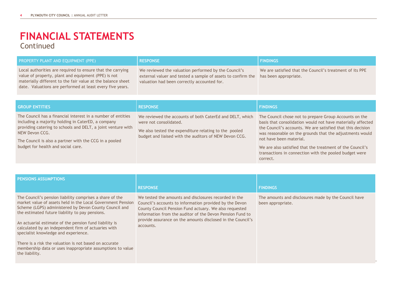### Continued **FINANCIAL STATEMENTS**

| PROPERTY PLANT AND EQUIPMENT (PPE)                                                                                                                                                                                                                                                                   | <b>RESPONSE</b>                                                                                                                                                                                       | <b>FINDINGS</b>                                                                                                                                                                                                                                                                                                                                                                                                |  |
|------------------------------------------------------------------------------------------------------------------------------------------------------------------------------------------------------------------------------------------------------------------------------------------------------|-------------------------------------------------------------------------------------------------------------------------------------------------------------------------------------------------------|----------------------------------------------------------------------------------------------------------------------------------------------------------------------------------------------------------------------------------------------------------------------------------------------------------------------------------------------------------------------------------------------------------------|--|
| Local authorities are required to ensure that the carrying<br>value of property, plant and equipment (PPE) is not<br>materially different to the fair value at the balance sheet<br>date. Valuations are performed at least every five years.                                                        | We reviewed the valuation performed by the Council's<br>external valuer and tested a sample of assets to confirm the<br>valuation had been correctly accounted for.                                   | We are satisfied that the Council's treatment of its PPE<br>has been appropriate.                                                                                                                                                                                                                                                                                                                              |  |
| <b>GROUP ENTITIES</b>                                                                                                                                                                                                                                                                                | <b>RESPONSE</b>                                                                                                                                                                                       | <b>FINDINGS</b>                                                                                                                                                                                                                                                                                                                                                                                                |  |
| The Council has a financial interest in a number of entities<br>including a majority holding in CaterED, a company<br>providing catering to schools and DELT, a joint venture with<br>NEW Devon CCG.<br>The Council is also a partner with the CCG in a pooled<br>budget for health and social care. | We reviewed the accounts of both CaterEd and DELT, which<br>were not consolidated.<br>We also tested the expenditure relating to the pooled<br>budget and liaised with the auditors of NEW Devon CCG. | The Council chose not to prepare Group Accounts on the<br>basis that consolidation would not have materially affected<br>the Council's accounts. We are satisfied that this decision<br>was reasonable on the grounds that the adjustments would<br>not have been material.<br>We are also satisfied that the treatment of the Council's<br>transactions in connection with the pooled budget were<br>correct. |  |

| <b>PENSIONS ASSUMPTIONS</b>                                                                                                                                                                                                                                                                                                                                                                                                                                                                                                             |                                                                                                                                                                                                                                                                                                                     |                                                                           |
|-----------------------------------------------------------------------------------------------------------------------------------------------------------------------------------------------------------------------------------------------------------------------------------------------------------------------------------------------------------------------------------------------------------------------------------------------------------------------------------------------------------------------------------------|---------------------------------------------------------------------------------------------------------------------------------------------------------------------------------------------------------------------------------------------------------------------------------------------------------------------|---------------------------------------------------------------------------|
|                                                                                                                                                                                                                                                                                                                                                                                                                                                                                                                                         | <b>RESPONSE</b>                                                                                                                                                                                                                                                                                                     | <b>FINDINGS</b>                                                           |
| The Council's pension liability comprises a share of the<br>market value of assets held in the Local Government Pension<br>Scheme (LGPS) administered by Devon County Council and<br>the estimated future liability to pay pensions.<br>An actuarial estimate of the pension fund liability is<br>calculated by an independent firm of actuaries with<br>specialist knowledge and experience.<br>There is a risk the valuation is not based on accurate<br>membership data or uses inappropriate assumptions to value<br>the liability. | We tested the amounts and disclosures recorded in the<br>Council's accounts to information provided by the Devon<br>County Council Pension Fund actuary. We also requested<br>information from the auditor of the Devon Pension Fund to<br>provide assurance on the amounts disclosed in the Council's<br>accounts. | The amounts and disclosures made by the Council have<br>been appropriate. |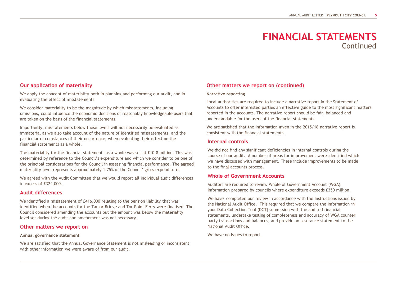### **FINANCIAL STATEMENTS Continued**

#### **Our application of materiality**

We apply the concept of materiality both in planning and performing our audit, and in evaluating the effect of misstatements.

We consider materiality to be the magnitude by which misstatements, including omissions, could influence the economic decisions of reasonably knowledgeable users that are taken on the basis of the financial statements.

Importantly, misstatements below these levels will not necessarily be evaluated as immaterial as we also take account of the nature of identified misstatements, and the particular circumstances of their occurrence, when evaluating their effect on the financial statements as a whole.

The materiality for the financial statements as a whole was set at £10.8 million. This was determined by reference to the Council's expenditure and which we consider to be one of the principal considerations for the Council in assessing financial performance. The agreed materiality level represents approximately 1.75% of the Council' gross expenditure.

We agreed with the Audit Committee that we would report all individual audit differences in excess of £324,000.

#### **Audit differences**

We identified a misstatement of £416,000 relating to the pension liability that was identified when the accounts for the Tamar Bridge and Tor Point Ferry were finalised. The Council considered amending the accounts but the amount was below the materiality level set during the audit and amendment was not necessary.

#### **Other matters we report on**

#### **Annual governance statement**

We are satisfied that the Annual Governance Statement is not misleading or inconsistent with other information we were aware of from our audit.

#### **Other matters we report on (continued)**

#### **Narrative reporting**

Local authorities are required to include a narrative report in the Statement of Accounts to offer interested parties an effective guide to the most significant matters reported in the accounts. The narrative report should be fair, balanced and understandable for the users of the financial statements.

We are satisfied that the information given in the 2015/16 narrative report is consistent with the financial statements.

#### **Internal controls**

We did not find any significant deficiencies in internal controls during the course of our audit. A number of areas for improvement were identified which we have discussed with management. These include improvements to be made to the final accounts process.

#### **Whole of Government Accounts**

Auditors are required to review Whole of Government Account (WGA) information prepared by councils where expenditure exceeds £350 million.

We have completed our review in accordance with the Instructions issued by the National Audit Office. This required that we compare the information in your Data Collection Tool (DCT) submission with the audited financial statements, undertake testing of completeness and accuracy of WGA counter party transactions and balances, and provide an assurance statement to the National Audit Office.

We have no issues to report.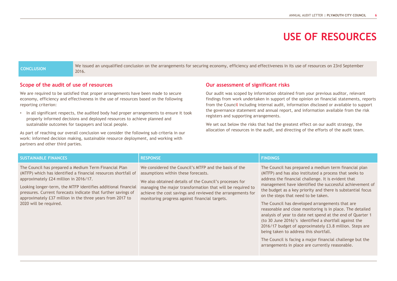# **USE OF RESOURCES**

**CONCLUSION** We issued an unqualified conclusion on the arrangements for securing economy, efficiency and effectiveness in its use of resources on 23rd September 2016.

#### **Scope of the audit of use of resources**

We are required to be satisfied that proper arrangements have been made to secure economy, efficiency and effectiveness in the use of resources based on the following reporting criterion:

• In all significant respects, the audited body had proper arrangements to ensure it took properly informed decisions and deployed resources to achieve planned and sustainable outcomes for taxpayers and local people.

As part of reaching our overall conclusion we consider the following sub criteria in our work: informed decision making, sustainable resource deployment, and working with partners and other third parties.

#### **Our assessment of significant risks**

Our audit was scoped by information obtained from your previous auditor, relevant findings from work undertaken in support of the opinion on financial statements, reports from the Council including internal audit, information disclosed or available to support the governance statement and annual report, and information available from the risk registers and supporting arrangements.

We set out below the risks that had the greatest effect on our audit strategy, the allocation of resources in the audit, and directing of the efforts of the audit team.

| <b>SUSTAINABLE FINANCES</b>                                                                                                                                                                                                                                                                                                                                                               | <b>RESPONSE</b>                                                                                                                                                                                                                                                                                                                       | <b>FINDINGS</b>                                                                                                                                                                                                                                                                                                                                                                                                                                                                                                                                                                                                                                                                                                                                                                                       |
|-------------------------------------------------------------------------------------------------------------------------------------------------------------------------------------------------------------------------------------------------------------------------------------------------------------------------------------------------------------------------------------------|---------------------------------------------------------------------------------------------------------------------------------------------------------------------------------------------------------------------------------------------------------------------------------------------------------------------------------------|-------------------------------------------------------------------------------------------------------------------------------------------------------------------------------------------------------------------------------------------------------------------------------------------------------------------------------------------------------------------------------------------------------------------------------------------------------------------------------------------------------------------------------------------------------------------------------------------------------------------------------------------------------------------------------------------------------------------------------------------------------------------------------------------------------|
| The Council has prepared a Medium Term Financial Plan<br>(MTFP) which has identified a financial resources shortfall of<br>approximately £24 million in 2016/17.<br>Looking longer-term, the MTFP identifies additional financial<br>pressures. Current forecasts indicate that further savings of<br>approximately £37 million in the three years from 2017 to<br>2020 will be required. | We considered the Council's MTFP and the basis of the<br>assumptions within these forecasts.<br>We also obtained details of the Council's processes for<br>managing the major transformation that will be required to<br>achieve the cost savings and reviewed the arrangements for<br>monitoring progress against financial targets. | The Council has prepared a medium term financial plan<br>(MTFP) and has also instituted a process that seeks to<br>address the financial challenge. It is evident that<br>management have identified the successful achievement of<br>the budget as a key priority and there is substantial focus<br>on the steps that need to be taken.<br>The Council has developed arrangements that are<br>reasonable and close monitoring is in place. The detailed<br>analysis of year to date net spend at the end of Quarter 1<br>(to 30 June 2016)'s identified a shortfall against the<br>2016/17 budget of approximately £3.8 million. Steps are<br>being taken to address this shortfall.<br>The Council is facing a major financial challenge but the<br>arrangements in place are currently reasonable. |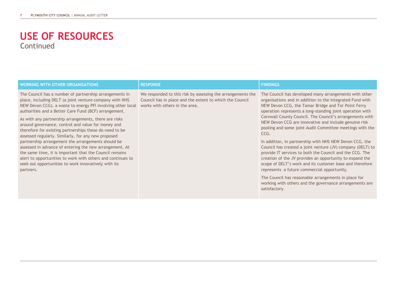### Continued **USE OF RESOURCES**

| <b>WORKING WITH OTHER ORGANISATIONS</b>                                                                                                                                                                                                                                                                      | <b>RESPONSE</b>                                                                                                                                           | <b>FINDINGS</b>                                                                                                                                                                                                                                                                                                                                          |
|--------------------------------------------------------------------------------------------------------------------------------------------------------------------------------------------------------------------------------------------------------------------------------------------------------------|-----------------------------------------------------------------------------------------------------------------------------------------------------------|----------------------------------------------------------------------------------------------------------------------------------------------------------------------------------------------------------------------------------------------------------------------------------------------------------------------------------------------------------|
| The Council has a number of partnership arrangements in<br>place, including DELT (a joint venture company with NHS<br>NEW Devon CCG), a waste to energy PFI involving other local<br>authorities and a Better Care Fund (BCF) arrangement.                                                                   | We responded to this risk by assessing the arrangements the<br>Council has in place and the extent to which the Council<br>works with others in the area. | The Council has developed many arrangements with other<br>organisations and in addition to the Integrated Fund with<br>NEW Devon CCG, the Tamar Bridge and Tor Point Ferry<br>operation represents a long-standing joint operation with                                                                                                                  |
| As with any partnership arrangements, there are risks<br>around governance, control and value for money and<br>therefore for existing partnerships these do need to be<br>assessed regularly. Similarly, for any new proposed                                                                                |                                                                                                                                                           | Cornwall County Council. The Council's arrangements with<br>NEW Devon CCG are innovative and include genuine risk<br>pooling and some joint Audit Committee meetings with the<br>CCG.                                                                                                                                                                    |
| partnership arrangement the arrangements should be<br>assessed in advance of entering the new arrangement. At<br>the same time, it is important that the Council remains<br>alert to opportunities to work with others and continues to<br>seek out opportunities to work innovatively with its<br>partners. |                                                                                                                                                           | In addition, in partnership with NHS NEW Devon CCG, the<br>Council has created a joint venture (JV) company (DELT) to<br>provide IT services to both the Council and the CCG. The<br>creation of the JV provides an opportunity to expand the<br>scope of DELT's work and its customer base and therefore<br>represents a future commercial opportunity. |
|                                                                                                                                                                                                                                                                                                              |                                                                                                                                                           | The Council has reasonable arrangements in place for<br>working with others and the governance arrangements are<br>satisfactory.                                                                                                                                                                                                                         |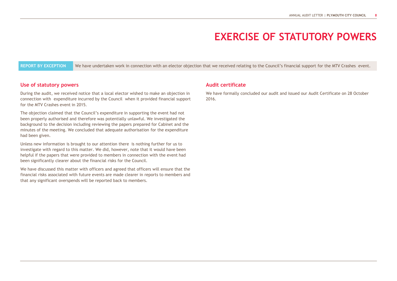### **EXERCISE OF STATUTORY POWERS**

REPORT BY EXCEPTION We have undertaken work in connection with an elector objection that we received relating to the Council's financial support for the MTV Crashes event.

#### **Use of statutory powers**

During the audit, we received notice that a local elector wished to make an objection in connection with expenditure incurred by the Council when it provided financial support for the MTV Crashes event in 2015.

The objection claimed that the Council's expenditure in supporting the event had not been properly authorised and therefore was potentially unlawful. We investigated the background to the decision including reviewing the papers prepared for Cabinet and the minutes of the meeting. We concluded that adequate authorisation for the expenditure had been given.

Unless new information is brought to our attention there is nothing further for us to investigate with regard to this matter. We did, however, note that it would have been helpful if the papers that were provided to members in connection with the event had been significantly clearer about the financial risks for the Council.

We have discussed this matter with officers and agreed that officers will ensure that the financial risks associated with future events are made clearer in reports to members and that any significant overspends will be reported back to members.

#### **Audit certificate**

We have formally concluded our audit and issued our Audit Certificate on 28 October 2016.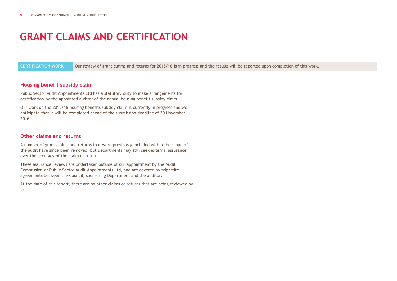# **GRANT CLAIMS AND CERTIFICATION**

**CERTIFICATION WORK** Our review of grant claims and returns for 2015/16 is in progress and the results will be reported upon completion of this work.

#### **Housing benefit subsidy claim**

Public Sector Audit Appointments Ltd has a statutory duty to make arrangements for certification by the appointed auditor of the annual housing benefit subsidy claim.

Our work on the 2015/16 housing benefits subsidy claim is currently in progress and we anticipate that it will be completed ahead of the submission deadline of 30 November 2016.

#### **Other claims and returns**

A number of grant claims and returns that were previously included within the scope of the audit have since been removed, but Departments may still seek external assurance over the accuracy of the claim or return.

These assurance reviews are undertaken outside of our appointment by the Audit Commission or Public Sector Audit Appointments Ltd, and are covered by tripartite agreements between the Council, sponsoring Department and the auditor.

At the date of this report, there are no other claims or returns that are being reviewed by us.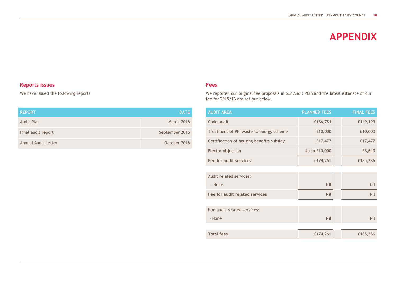### **APPENDIX**

### **Reports issues**

We have issued the following reports

| <b>REPORT</b>       | <b>DATE</b>    |
|---------------------|----------------|
| <b>Audit Plan</b>   | March 2016     |
| Final audit report  | September 2016 |
| Annual Audit Letter | October 2016   |

#### **Fees**

We reported our original fee proposals in our Audit Plan and the latest estimate of our fee for 2015/16 are set out below.

| <b>AUDIT AREA</b>                         | <b>PLANNED FEES</b> | <b>FINAL FEES</b> |
|-------------------------------------------|---------------------|-------------------|
| Code audit                                | £136,784            | £149,199          |
| Treatment of PFI waste to energy scheme   | £10,000             | £10,000           |
| Certification of housing benefits subsidy | £17,477             | £17,477           |
| Elector objection                         | Up to £10,000       | £8,610            |
| Fee for audit services                    | £174,261            | £185,286          |
|                                           |                     |                   |
| Audit related services:                   |                     |                   |
| - None                                    | <b>Nil</b>          | <b>Nil</b>        |
| Fee for audit related services            | <b>Nil</b>          | <b>Nil</b>        |
|                                           |                     |                   |
| Non audit related services:               |                     |                   |
| - None                                    | <b>Nil</b>          | <b>Nil</b>        |
|                                           |                     |                   |
| <b>Total fees</b>                         | £174,261            | £185,286          |